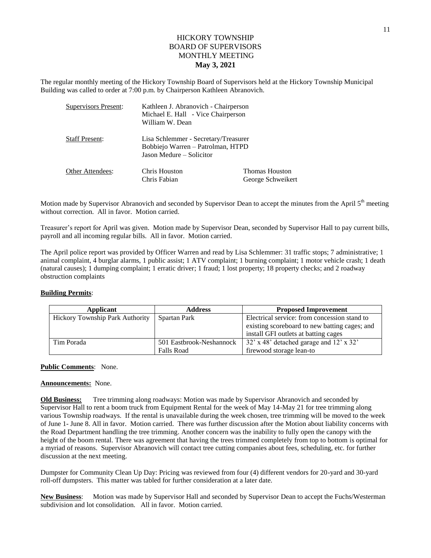## HICKORY TOWNSHIP BOARD OF SUPERVISORS MONTHLY MEETING **May 3, 2021**

The regular monthly meeting of the Hickory Township Board of Supervisors held at the Hickory Township Municipal Building was called to order at 7:00 p.m. by Chairperson Kathleen Abranovich.

| <b>Supervisors Present:</b> | Kathleen J. Abranovich - Chairperson<br>Michael E. Hall - Vice Chairperson<br>William W. Dean<br>Lisa Schlemmer - Secretary/Treasurer<br>Bobbiejo Warren – Patrolman, HTPD<br>Jason Medure – Solicitor |                                            |  |
|-----------------------------|--------------------------------------------------------------------------------------------------------------------------------------------------------------------------------------------------------|--------------------------------------------|--|
| <b>Staff Present:</b>       |                                                                                                                                                                                                        |                                            |  |
| Other Attendees:            | Chris Houston<br>Chris Fabian                                                                                                                                                                          | <b>Thomas Houston</b><br>George Schweikert |  |

Motion made by Supervisor Abranovich and seconded by Supervisor Dean to accept the minutes from the April 5<sup>th</sup> meeting without correction. All in favor. Motion carried.

Treasurer's report for April was given. Motion made by Supervisor Dean, seconded by Supervisor Hall to pay current bills, payroll and all incoming regular bills. All in favor. Motion carried.

The April police report was provided by Officer Warren and read by Lisa Schlemmer: 31 traffic stops; 7 administrative; 1 animal complaint, 4 burglar alarms, 1 public assist; 1 ATV complaint; 1 burning complaint; 1 motor vehicle crash; 1 death (natural causes); 1 dumping complaint; 1 erratic driver; 1 fraud; 1 lost property; 18 property checks; and 2 roadway obstruction complaints

## **Building Permits**:

| Applicant                       | <b>Address</b>           | <b>Proposed Improvement</b>                   |  |
|---------------------------------|--------------------------|-----------------------------------------------|--|
| Hickory Township Park Authority | Spartan Park             | Electrical service: from concession stand to  |  |
|                                 |                          | existing scoreboard to new batting cages; and |  |
|                                 |                          | install GFI outlets at batting cages          |  |
| Tim Porada                      | 501 Eastbrook-Neshannock | 32' x 48' detached garage and 12' x 32'       |  |
|                                 | <b>Falls Road</b>        | firewood storage lean-to                      |  |

## **Public Comments**: None.

## **Announcements:** None.

**Old Business:** Tree trimming along roadways: Motion was made by Supervisor Abranovich and seconded by Supervisor Hall to rent a boom truck from Equipment Rental for the week of May 14-May 21 for tree trimming along various Township roadways. If the rental is unavailable during the week chosen, tree trimming will be moved to the week of June 1- June 8. All in favor. Motion carried. There was further discussion after the Motion about liability concerns with the Road Department handling the tree trimming. Another concern was the inability to fully open the canopy with the height of the boom rental. There was agreement that having the trees trimmed completely from top to bottom is optimal for a myriad of reasons. Supervisor Abranovich will contact tree cutting companies about fees, scheduling, etc. for further discussion at the next meeting.

Dumpster for Community Clean Up Day: Pricing was reviewed from four (4) different vendors for 20-yard and 30-yard roll-off dumpsters. This matter was tabled for further consideration at a later date.

**New Business**: Motion was made by Supervisor Hall and seconded by Supervisor Dean to accept the Fuchs/Westerman subdivision and lot consolidation. All in favor. Motion carried.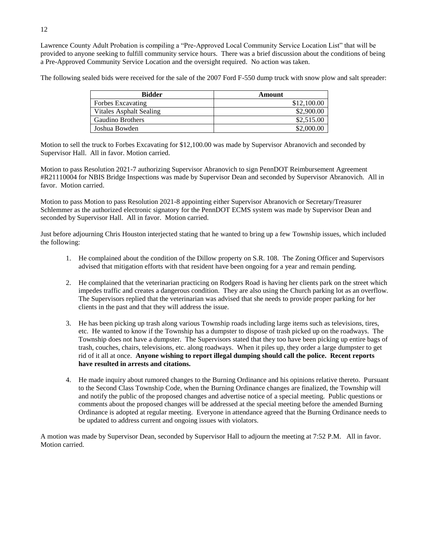Lawrence County Adult Probation is compiling a "Pre-Approved Local Community Service Location List" that will be provided to anyone seeking to fulfill community service hours. There was a brief discussion about the conditions of being a Pre-Approved Community Service Location and the oversight required. No action was taken.

The following sealed bids were received for the sale of the 2007 Ford F-550 dump truck with snow plow and salt spreader:

| <b>Bidder</b>           | Amount      |
|-------------------------|-------------|
| Forbes Excavating       | \$12,100.00 |
| Vitales Asphalt Sealing | \$2,900.00  |
| Gaudino Brothers        | \$2,515.00  |
| Joshua Bowden           | \$2,000.00  |

Motion to sell the truck to Forbes Excavating for \$12,100.00 was made by Supervisor Abranovich and seconded by Supervisor Hall. All in favor. Motion carried.

Motion to pass Resolution 2021-7 authorizing Supervisor Abranovich to sign PennDOT Reimbursement Agreement #R21110004 for NBIS Bridge Inspections was made by Supervisor Dean and seconded by Supervisor Abranovich. All in favor. Motion carried.

Motion to pass Motion to pass Resolution 2021-8 appointing either Supervisor Abranovich or Secretary/Treasurer Schlemmer as the authorized electronic signatory for the PennDOT ECMS system was made by Supervisor Dean and seconded by Supervisor Hall. All in favor. Motion carried.

Just before adjourning Chris Houston interjected stating that he wanted to bring up a few Township issues, which included the following:

- 1. He complained about the condition of the Dillow property on S.R. 108. The Zoning Officer and Supervisors advised that mitigation efforts with that resident have been ongoing for a year and remain pending.
- 2. He complained that the veterinarian practicing on Rodgers Road is having her clients park on the street which impedes traffic and creates a dangerous condition. They are also using the Church parking lot as an overflow. The Supervisors replied that the veterinarian was advised that she needs to provide proper parking for her clients in the past and that they will address the issue.
- 3. He has been picking up trash along various Township roads including large items such as televisions, tires, etc. He wanted to know if the Township has a dumpster to dispose of trash picked up on the roadways. The Township does not have a dumpster. The Supervisors stated that they too have been picking up entire bags of trash, couches, chairs, televisions, etc. along roadways. When it piles up, they order a large dumpster to get rid of it all at once. **Anyone wishing to report illegal dumping should call the police. Recent reports have resulted in arrests and citations.**
- 4. He made inquiry about rumored changes to the Burning Ordinance and his opinions relative thereto. Pursuant to the Second Class Township Code, when the Burning Ordinance changes are finalized, the Township will and notify the public of the proposed changes and advertise notice of a special meeting. Public questions or comments about the proposed changes will be addressed at the special meeting before the amended Burning Ordinance is adopted at regular meeting. Everyone in attendance agreed that the Burning Ordinance needs to be updated to address current and ongoing issues with violators.

A motion was made by Supervisor Dean, seconded by Supervisor Hall to adjourn the meeting at 7:52 P.M. All in favor. Motion carried.